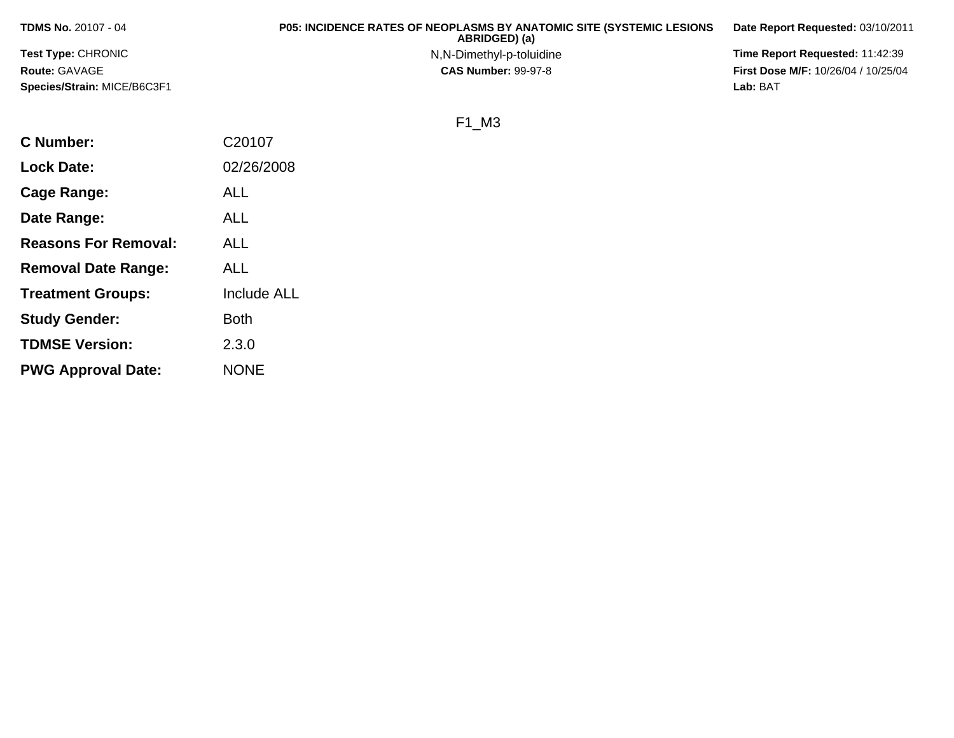| <b>TDMS No. 20107 - 04</b>  | <b>P05: INCIDENCE RATES OF NEOPLASMS BY ANATOMIC SITE (SYSTEMIC LESIONS)</b><br>ABRIDGED) (a) | Date Report Requested: 03/10/2011          |
|-----------------------------|-----------------------------------------------------------------------------------------------|--------------------------------------------|
| <b>Test Type: CHRONIC</b>   | N,N-Dimethyl-p-toluidine                                                                      | <b>Time Report Requested: 11:42:39</b>     |
| <b>Route: GAVAGE</b>        | <b>CAS Number: 99-97-8</b>                                                                    | <b>First Dose M/F: 10/26/04 / 10/25/04</b> |
| Species/Strain: MICE/B6C3F1 |                                                                                               | Lab: BAT                                   |

## F1\_M3

| <b>C</b> Number:            | C20107             |
|-----------------------------|--------------------|
| <b>Lock Date:</b>           | 02/26/2008         |
| Cage Range:                 | ALL                |
| Date Range:                 | ALL                |
| <b>Reasons For Removal:</b> | ALL                |
| <b>Removal Date Range:</b>  | ALL                |
| <b>Treatment Groups:</b>    | <b>Include ALL</b> |
| <b>Study Gender:</b>        | <b>Both</b>        |
| <b>TDMSE Version:</b>       | 2.3.0              |
| <b>PWG Approval Date:</b>   | <b>NONE</b>        |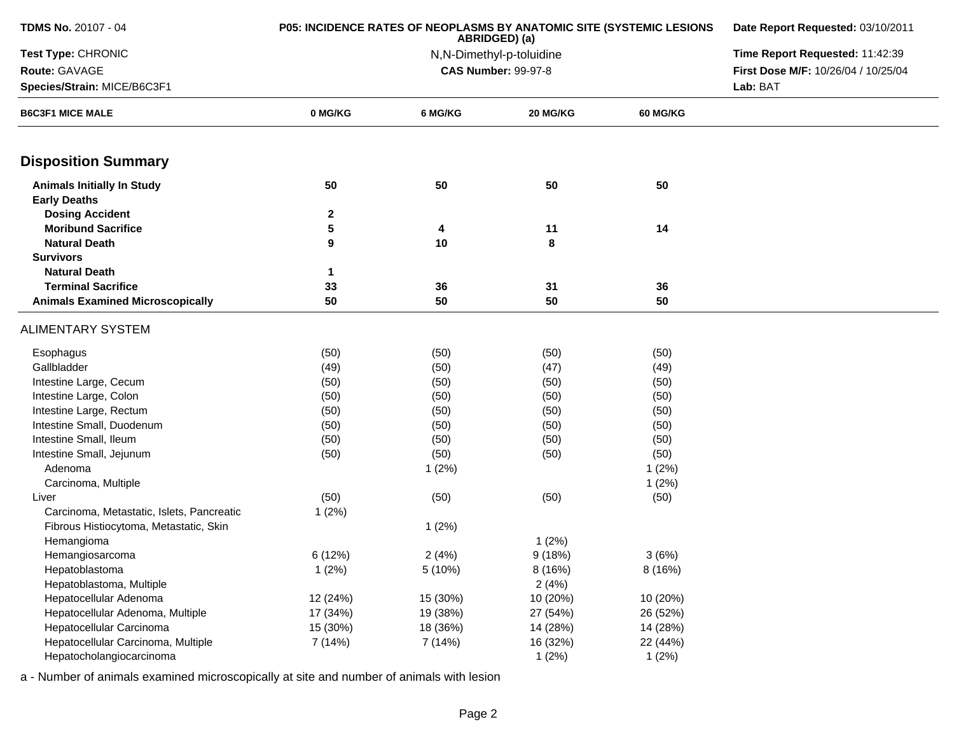| <b>TDMS No. 20107 - 04</b>                               | P05: INCIDENCE RATES OF NEOPLASMS BY ANATOMIC SITE (SYSTEMIC LESIONS | Date Report Requested: 03/10/2011 |                            |                 |                                     |
|----------------------------------------------------------|----------------------------------------------------------------------|-----------------------------------|----------------------------|-----------------|-------------------------------------|
| Test Type: CHRONIC                                       |                                                                      | Time Report Requested: 11:42:39   |                            |                 |                                     |
| Route: GAVAGE                                            |                                                                      |                                   | <b>CAS Number: 99-97-8</b> |                 | First Dose M/F: 10/26/04 / 10/25/04 |
| Species/Strain: MICE/B6C3F1                              |                                                                      |                                   |                            | Lab: BAT        |                                     |
| <b>B6C3F1 MICE MALE</b>                                  | 0 MG/KG                                                              | 6 MG/KG                           | 20 MG/KG                   | <b>60 MG/KG</b> |                                     |
| <b>Disposition Summary</b>                               |                                                                      |                                   |                            |                 |                                     |
| <b>Animals Initially In Study</b><br><b>Early Deaths</b> | 50                                                                   | 50                                | 50                         | 50              |                                     |
| <b>Dosing Accident</b>                                   | $\mathbf{2}$                                                         |                                   |                            |                 |                                     |
| <b>Moribund Sacrifice</b>                                | 5                                                                    | 4                                 | 11                         | 14              |                                     |
| <b>Natural Death</b>                                     | 9                                                                    | 10                                | 8                          |                 |                                     |
| <b>Survivors</b>                                         |                                                                      |                                   |                            |                 |                                     |
| <b>Natural Death</b>                                     | 1                                                                    |                                   |                            |                 |                                     |
| <b>Terminal Sacrifice</b>                                | 33                                                                   | 36                                | 31                         | 36              |                                     |
| <b>Animals Examined Microscopically</b>                  | 50                                                                   | 50                                | 50                         | 50              |                                     |
| <b>ALIMENTARY SYSTEM</b>                                 |                                                                      |                                   |                            |                 |                                     |
| Esophagus                                                | (50)                                                                 | (50)                              | (50)                       | (50)            |                                     |
| Gallbladder                                              | (49)                                                                 | (50)                              | (47)                       | (49)            |                                     |
| Intestine Large, Cecum                                   | (50)                                                                 | (50)                              | (50)                       | (50)            |                                     |
| Intestine Large, Colon                                   | (50)                                                                 | (50)                              | (50)                       | (50)            |                                     |
| Intestine Large, Rectum                                  | (50)                                                                 | (50)                              | (50)                       | (50)            |                                     |
| Intestine Small, Duodenum                                | (50)                                                                 | (50)                              | (50)                       | (50)            |                                     |
| Intestine Small, Ileum                                   | (50)                                                                 | (50)                              | (50)                       | (50)            |                                     |
| Intestine Small, Jejunum                                 | (50)                                                                 | (50)                              | (50)                       | (50)            |                                     |
| Adenoma                                                  |                                                                      | 1(2%)                             |                            | 1(2%)           |                                     |
| Carcinoma, Multiple                                      |                                                                      |                                   |                            | 1(2%)           |                                     |
| Liver                                                    | (50)                                                                 | (50)                              | (50)                       | (50)            |                                     |
| Carcinoma, Metastatic, Islets, Pancreatic                | 1(2%)                                                                |                                   |                            |                 |                                     |
| Fibrous Histiocytoma, Metastatic, Skin                   |                                                                      | 1(2%)                             |                            |                 |                                     |
| Hemangioma                                               |                                                                      |                                   | 1(2%)                      |                 |                                     |
| Hemangiosarcoma                                          | 6(12%)                                                               | 2(4%)                             | 9(18%)                     | 3(6%)           |                                     |
| Hepatoblastoma                                           | 1(2%)                                                                | 5 (10%)                           | 8 (16%)                    | 8(16%)          |                                     |
| Hepatoblastoma, Multiple                                 |                                                                      |                                   | 2(4%)                      |                 |                                     |
| Hepatocellular Adenoma                                   | 12 (24%)                                                             | 15 (30%)                          | 10 (20%)                   | 10 (20%)        |                                     |
| Hepatocellular Adenoma, Multiple                         | 17 (34%)                                                             | 19 (38%)                          | 27 (54%)                   | 26 (52%)        |                                     |
| Hepatocellular Carcinoma                                 | 15 (30%)                                                             | 18 (36%)                          | 14 (28%)                   | 14 (28%)        |                                     |
| Hepatocellular Carcinoma, Multiple                       | 7 (14%)                                                              | 7 (14%)                           | 16 (32%)                   | 22 (44%)        |                                     |
| Hepatocholangiocarcinoma                                 |                                                                      |                                   | 1(2%)                      | 1(2%)           |                                     |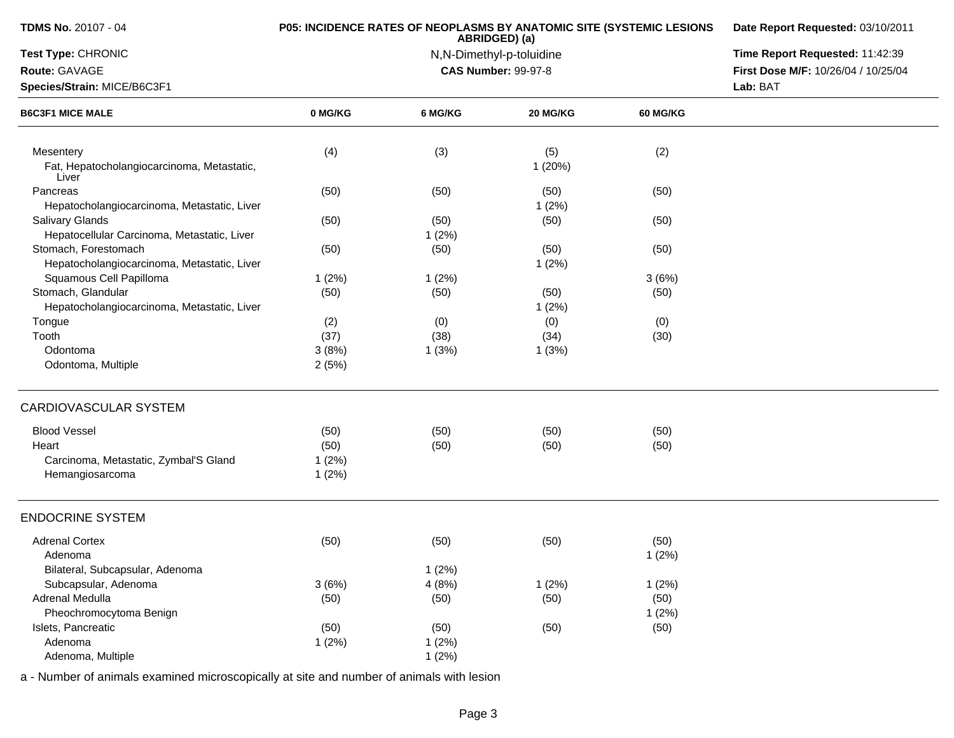| <b>TDMS No. 20107 - 04</b>                          |         | P05: INCIDENCE RATES OF NEOPLASMS BY ANATOMIC SITE (SYSTEMIC LESIONS<br>ABRIDGED) (a) | Date Report Requested: 03/10/2011 |          |                                     |
|-----------------------------------------------------|---------|---------------------------------------------------------------------------------------|-----------------------------------|----------|-------------------------------------|
| Test Type: CHRONIC                                  |         | N,N-Dimethyl-p-toluidine                                                              | Time Report Requested: 11:42:39   |          |                                     |
| Route: GAVAGE                                       |         |                                                                                       | <b>CAS Number: 99-97-8</b>        |          | First Dose M/F: 10/26/04 / 10/25/04 |
| Species/Strain: MICE/B6C3F1                         |         |                                                                                       |                                   |          | Lab: BAT                            |
| <b>B6C3F1 MICE MALE</b>                             | 0 MG/KG | 6 MG/KG                                                                               | 20 MG/KG                          | 60 MG/KG |                                     |
| Mesentery                                           | (4)     | (3)                                                                                   | (5)                               | (2)      |                                     |
| Fat, Hepatocholangiocarcinoma, Metastatic,<br>Liver |         |                                                                                       | 1(20%)                            |          |                                     |
| Pancreas                                            | (50)    | (50)                                                                                  | (50)                              | (50)     |                                     |
| Hepatocholangiocarcinoma, Metastatic, Liver         |         |                                                                                       | 1(2%)                             |          |                                     |
| <b>Salivary Glands</b>                              | (50)    | (50)                                                                                  | (50)                              | (50)     |                                     |
| Hepatocellular Carcinoma, Metastatic, Liver         |         | 1(2%)                                                                                 |                                   |          |                                     |
| Stomach, Forestomach                                | (50)    | (50)                                                                                  | (50)                              | (50)     |                                     |
| Hepatocholangiocarcinoma, Metastatic, Liver         |         |                                                                                       | 1(2%)                             |          |                                     |
| Squamous Cell Papilloma                             | 1(2%)   | 1(2%)                                                                                 |                                   | 3(6%)    |                                     |
| Stomach, Glandular                                  | (50)    | (50)                                                                                  | (50)                              | (50)     |                                     |
| Hepatocholangiocarcinoma, Metastatic, Liver         |         |                                                                                       | 1(2%)                             |          |                                     |
| Tongue                                              | (2)     | (0)                                                                                   | (0)                               | (0)      |                                     |
| Tooth                                               | (37)    | (38)                                                                                  | (34)                              | (30)     |                                     |
| Odontoma                                            | 3(8%)   | 1(3%)                                                                                 | 1(3%)                             |          |                                     |
| Odontoma, Multiple                                  | 2(5%)   |                                                                                       |                                   |          |                                     |
| CARDIOVASCULAR SYSTEM                               |         |                                                                                       |                                   |          |                                     |
| <b>Blood Vessel</b>                                 | (50)    | (50)                                                                                  | (50)                              | (50)     |                                     |
| Heart                                               | (50)    | (50)                                                                                  | (50)                              | (50)     |                                     |
| Carcinoma, Metastatic, Zymbal'S Gland               | 1(2%)   |                                                                                       |                                   |          |                                     |
| Hemangiosarcoma                                     | 1(2%)   |                                                                                       |                                   |          |                                     |
| <b>ENDOCRINE SYSTEM</b>                             |         |                                                                                       |                                   |          |                                     |
| <b>Adrenal Cortex</b>                               | (50)    | (50)                                                                                  | (50)                              | (50)     |                                     |
| Adenoma                                             |         |                                                                                       |                                   | 1(2%)    |                                     |
| Bilateral, Subcapsular, Adenoma                     |         | 1(2%)                                                                                 |                                   |          |                                     |
| Subcapsular, Adenoma                                | 3(6%)   | 4(8%)                                                                                 | 1(2%)                             | 1(2%)    |                                     |
| Adrenal Medulla                                     | (50)    | (50)                                                                                  | (50)                              | (50)     |                                     |
| Pheochromocytoma Benign                             |         |                                                                                       |                                   | 1(2%)    |                                     |
| Islets, Pancreatic                                  | (50)    | (50)                                                                                  | (50)                              | (50)     |                                     |
| Adenoma                                             | 1(2%)   | 1(2%)                                                                                 |                                   |          |                                     |
| Adenoma, Multiple                                   |         | 1(2%)                                                                                 |                                   |          |                                     |
|                                                     |         |                                                                                       |                                   |          |                                     |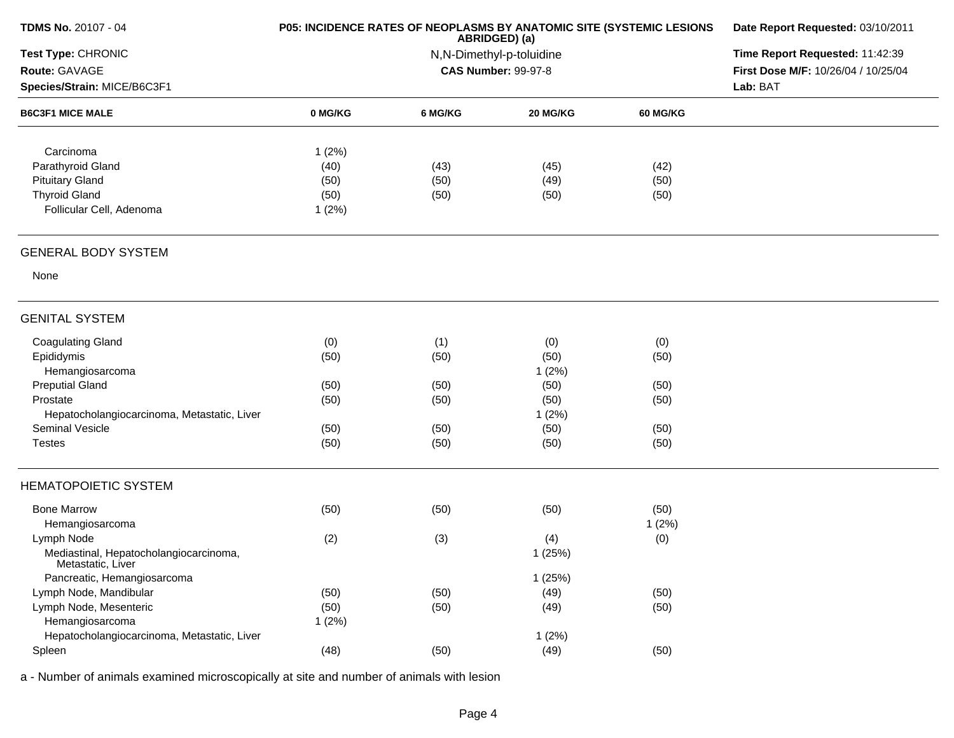| TDMS No. 20107 - 04                                         | P05: INCIDENCE RATES OF NEOPLASMS BY ANATOMIC SITE (SYSTEMIC LESIONS | Date Report Requested: 03/10/2011 |                                 |                 |                                     |
|-------------------------------------------------------------|----------------------------------------------------------------------|-----------------------------------|---------------------------------|-----------------|-------------------------------------|
| Test Type: CHRONIC                                          |                                                                      | N,N-Dimethyl-p-toluidine          | Time Report Requested: 11:42:39 |                 |                                     |
| Route: GAVAGE                                               |                                                                      |                                   | <b>CAS Number: 99-97-8</b>      |                 | First Dose M/F: 10/26/04 / 10/25/04 |
| Species/Strain: MICE/B6C3F1                                 |                                                                      |                                   |                                 | Lab: BAT        |                                     |
| <b>B6C3F1 MICE MALE</b>                                     | 0 MG/KG                                                              | 6 MG/KG                           | <b>20 MG/KG</b>                 | <b>60 MG/KG</b> |                                     |
| Carcinoma                                                   | 1(2%)                                                                |                                   |                                 |                 |                                     |
| Parathyroid Gland                                           | (40)                                                                 | (43)                              | (45)                            | (42)            |                                     |
| <b>Pituitary Gland</b>                                      | (50)                                                                 | (50)                              | (49)                            | (50)            |                                     |
| <b>Thyroid Gland</b>                                        | (50)                                                                 | (50)                              | (50)                            | (50)            |                                     |
| Follicular Cell, Adenoma                                    | 1(2%)                                                                |                                   |                                 |                 |                                     |
|                                                             |                                                                      |                                   |                                 |                 |                                     |
| <b>GENERAL BODY SYSTEM</b>                                  |                                                                      |                                   |                                 |                 |                                     |
| None                                                        |                                                                      |                                   |                                 |                 |                                     |
| <b>GENITAL SYSTEM</b>                                       |                                                                      |                                   |                                 |                 |                                     |
| <b>Coagulating Gland</b>                                    | (0)                                                                  | (1)                               | (0)                             | (0)             |                                     |
| Epididymis                                                  | (50)                                                                 | (50)                              | (50)                            | (50)            |                                     |
| Hemangiosarcoma                                             |                                                                      |                                   | 1(2%)                           |                 |                                     |
| <b>Preputial Gland</b>                                      | (50)                                                                 | (50)                              | (50)                            | (50)            |                                     |
| Prostate                                                    | (50)                                                                 | (50)                              | (50)                            | (50)            |                                     |
| Hepatocholangiocarcinoma, Metastatic, Liver                 |                                                                      |                                   | 1(2%)                           |                 |                                     |
| Seminal Vesicle                                             | (50)                                                                 | (50)                              | (50)                            | (50)            |                                     |
| <b>Testes</b>                                               | (50)                                                                 | (50)                              | (50)                            | (50)            |                                     |
| <b>HEMATOPOIETIC SYSTEM</b>                                 |                                                                      |                                   |                                 |                 |                                     |
| <b>Bone Marrow</b>                                          | (50)                                                                 | (50)                              | (50)                            | (50)            |                                     |
| Hemangiosarcoma                                             |                                                                      |                                   |                                 | 1(2%)           |                                     |
| Lymph Node                                                  | (2)                                                                  | (3)                               | (4)                             | (0)             |                                     |
| Mediastinal, Hepatocholangiocarcinoma,<br>Metastatic, Liver |                                                                      |                                   | 1(25%)                          |                 |                                     |
| Pancreatic, Hemangiosarcoma                                 |                                                                      |                                   | 1(25%)                          |                 |                                     |
| Lymph Node, Mandibular                                      | (50)                                                                 | (50)                              | (49)                            | (50)            |                                     |
| Lymph Node, Mesenteric                                      | (50)                                                                 | (50)                              | (49)                            | (50)            |                                     |
| Hemangiosarcoma                                             | 1(2%)                                                                |                                   |                                 |                 |                                     |
| Hepatocholangiocarcinoma, Metastatic, Liver                 |                                                                      |                                   | 1(2%)                           |                 |                                     |
| Spleen                                                      | (48)                                                                 | (50)                              | (49)                            | (50)            |                                     |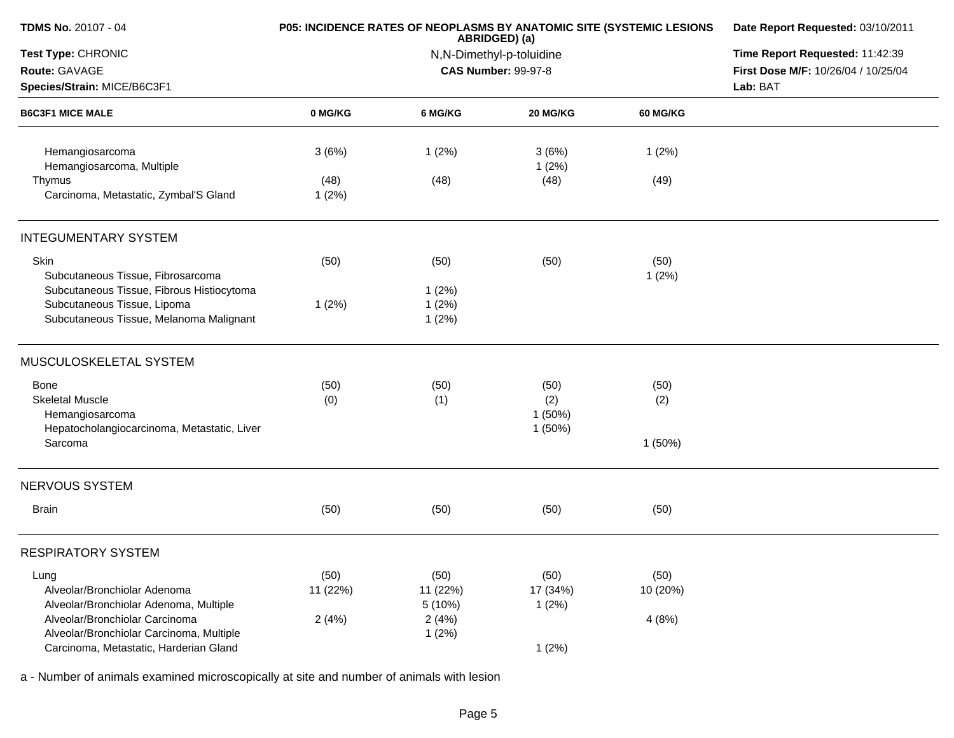| <b>TDMS No. 20107 - 04</b>                                                               |                  | P05: INCIDENCE RATES OF NEOPLASMS BY ANATOMIC SITE (SYSTEMIC LESIONS<br>ABRIDGED) (a) | Date Report Requested: 03/10/2011<br>Time Report Requested: 11:42:39<br>First Dose M/F: 10/26/04 / 10/25/04 |                  |  |
|------------------------------------------------------------------------------------------|------------------|---------------------------------------------------------------------------------------|-------------------------------------------------------------------------------------------------------------|------------------|--|
| Test Type: CHRONIC<br>Route: GAVAGE                                                      |                  | N,N-Dimethyl-p-toluidine<br><b>CAS Number: 99-97-8</b>                                |                                                                                                             |                  |  |
| Species/Strain: MICE/B6C3F1                                                              |                  |                                                                                       |                                                                                                             | Lab: BAT         |  |
| <b>B6C3F1 MICE MALE</b>                                                                  | 0 MG/KG          | 6 MG/KG                                                                               | 20 MG/KG                                                                                                    | <b>60 MG/KG</b>  |  |
| Hemangiosarcoma<br>Hemangiosarcoma, Multiple                                             | 3(6%)            | 1(2%)                                                                                 | 3(6%)<br>1(2%)                                                                                              | 1(2%)            |  |
| Thymus<br>Carcinoma, Metastatic, Zymbal'S Gland                                          | (48)<br>1(2%)    | (48)                                                                                  | (48)                                                                                                        | (49)             |  |
| <b>INTEGUMENTARY SYSTEM</b>                                                              |                  |                                                                                       |                                                                                                             |                  |  |
| Skin<br>Subcutaneous Tissue, Fibrosarcoma<br>Subcutaneous Tissue, Fibrous Histiocytoma   | (50)             | (50)<br>1(2%)                                                                         | (50)                                                                                                        | (50)<br>1(2%)    |  |
| Subcutaneous Tissue, Lipoma<br>Subcutaneous Tissue, Melanoma Malignant                   | 1(2%)            | 1(2%)<br>1(2%)                                                                        |                                                                                                             |                  |  |
| MUSCULOSKELETAL SYSTEM                                                                   |                  |                                                                                       |                                                                                                             |                  |  |
| Bone                                                                                     | (50)             | (50)                                                                                  | (50)                                                                                                        | (50)             |  |
| <b>Skeletal Muscle</b><br>Hemangiosarcoma<br>Hepatocholangiocarcinoma, Metastatic, Liver | (0)              | (1)                                                                                   | (2)<br>1(50%)<br>1(50%)                                                                                     | (2)              |  |
| Sarcoma                                                                                  |                  |                                                                                       |                                                                                                             | 1(50%)           |  |
| <b>NERVOUS SYSTEM</b>                                                                    |                  |                                                                                       |                                                                                                             |                  |  |
| <b>Brain</b>                                                                             | (50)             | (50)                                                                                  | (50)                                                                                                        | (50)             |  |
| <b>RESPIRATORY SYSTEM</b>                                                                |                  |                                                                                       |                                                                                                             |                  |  |
| Lung<br>Alveolar/Bronchiolar Adenoma                                                     | (50)<br>11 (22%) | (50)<br>11 (22%)                                                                      | (50)<br>17 (34%)                                                                                            | (50)<br>10 (20%) |  |
| Alveolar/Bronchiolar Adenoma, Multiple                                                   |                  | 5 (10%)                                                                               | 1(2%)                                                                                                       |                  |  |
| Alveolar/Bronchiolar Carcinoma<br>Alveolar/Bronchiolar Carcinoma, Multiple               | 2(4%)            | 2(4%)<br>1(2%)                                                                        |                                                                                                             | 4(8%)            |  |
| Carcinoma, Metastatic, Harderian Gland                                                   |                  |                                                                                       | 1(2%)                                                                                                       |                  |  |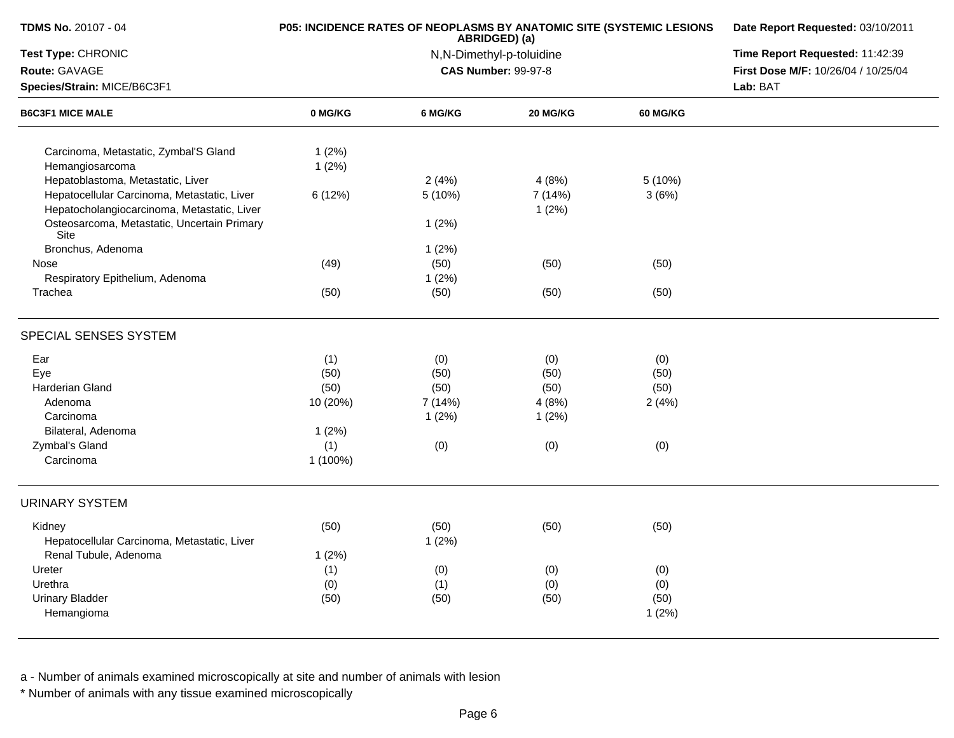| TDMS No. 20107 - 04                                 | P05: INCIDENCE RATES OF NEOPLASMS BY ANATOMIC SITE (SYSTEMIC LESIONS | ABRIDGED) (a)            | Date Report Requested: 03/10/2011 |                 |                                     |
|-----------------------------------------------------|----------------------------------------------------------------------|--------------------------|-----------------------------------|-----------------|-------------------------------------|
| Test Type: CHRONIC                                  |                                                                      | N,N-Dimethyl-p-toluidine | Time Report Requested: 11:42:39   |                 |                                     |
| Route: GAVAGE                                       |                                                                      |                          | <b>CAS Number: 99-97-8</b>        |                 | First Dose M/F: 10/26/04 / 10/25/04 |
| Species/Strain: MICE/B6C3F1                         |                                                                      |                          |                                   |                 | Lab: BAT                            |
| <b>B6C3F1 MICE MALE</b>                             | 0 MG/KG                                                              | 6 MG/KG                  | 20 MG/KG                          | <b>60 MG/KG</b> |                                     |
| Carcinoma, Metastatic, Zymbal'S Gland               | 1(2%)                                                                |                          |                                   |                 |                                     |
| Hemangiosarcoma                                     | 1(2%)                                                                |                          |                                   |                 |                                     |
| Hepatoblastoma, Metastatic, Liver                   |                                                                      | 2(4%)                    | 4(8%)                             | 5(10%)          |                                     |
| Hepatocellular Carcinoma, Metastatic, Liver         | 6(12%)                                                               | 5(10%)                   | 7 (14%)                           | 3(6%)           |                                     |
| Hepatocholangiocarcinoma, Metastatic, Liver         |                                                                      |                          | 1(2%)                             |                 |                                     |
| Osteosarcoma, Metastatic, Uncertain Primary<br>Site |                                                                      | 1(2%)                    |                                   |                 |                                     |
| Bronchus, Adenoma                                   |                                                                      | 1(2%)                    |                                   |                 |                                     |
| Nose                                                | (49)                                                                 | (50)                     | (50)                              | (50)            |                                     |
| Respiratory Epithelium, Adenoma                     |                                                                      | 1(2%)                    |                                   |                 |                                     |
| Trachea                                             | (50)                                                                 | (50)                     | (50)                              | (50)            |                                     |
| SPECIAL SENSES SYSTEM                               |                                                                      |                          |                                   |                 |                                     |
| Ear                                                 | (1)                                                                  | (0)                      | (0)                               | (0)             |                                     |
| Eye                                                 | (50)                                                                 | (50)                     | (50)                              | (50)            |                                     |
| Harderian Gland                                     | (50)                                                                 | (50)                     | (50)                              | (50)            |                                     |
| Adenoma                                             | 10 (20%)                                                             | 7 (14%)                  | 4(8%)                             | 2(4%)           |                                     |
| Carcinoma                                           |                                                                      | 1(2%)                    | 1(2%)                             |                 |                                     |
| Bilateral, Adenoma                                  | 1(2%)                                                                |                          |                                   |                 |                                     |
| Zymbal's Gland                                      | (1)                                                                  | (0)                      | (0)                               | (0)             |                                     |
| Carcinoma                                           | 1 (100%)                                                             |                          |                                   |                 |                                     |
| <b>URINARY SYSTEM</b>                               |                                                                      |                          |                                   |                 |                                     |
| Kidney                                              | (50)                                                                 | (50)                     | (50)                              | (50)            |                                     |
| Hepatocellular Carcinoma, Metastatic, Liver         |                                                                      | 1(2%)                    |                                   |                 |                                     |
| Renal Tubule, Adenoma                               | 1(2%)                                                                |                          |                                   |                 |                                     |
| Ureter                                              | (1)                                                                  | (0)                      | (0)                               | (0)             |                                     |
| Urethra                                             | (0)                                                                  | (1)                      | (0)                               | (0)             |                                     |
| <b>Urinary Bladder</b>                              | (50)                                                                 | (50)                     | (50)                              | (50)            |                                     |
| Hemangioma                                          |                                                                      |                          |                                   | 1(2%)           |                                     |
|                                                     |                                                                      |                          |                                   |                 |                                     |

\* Number of animals with any tissue examined microscopically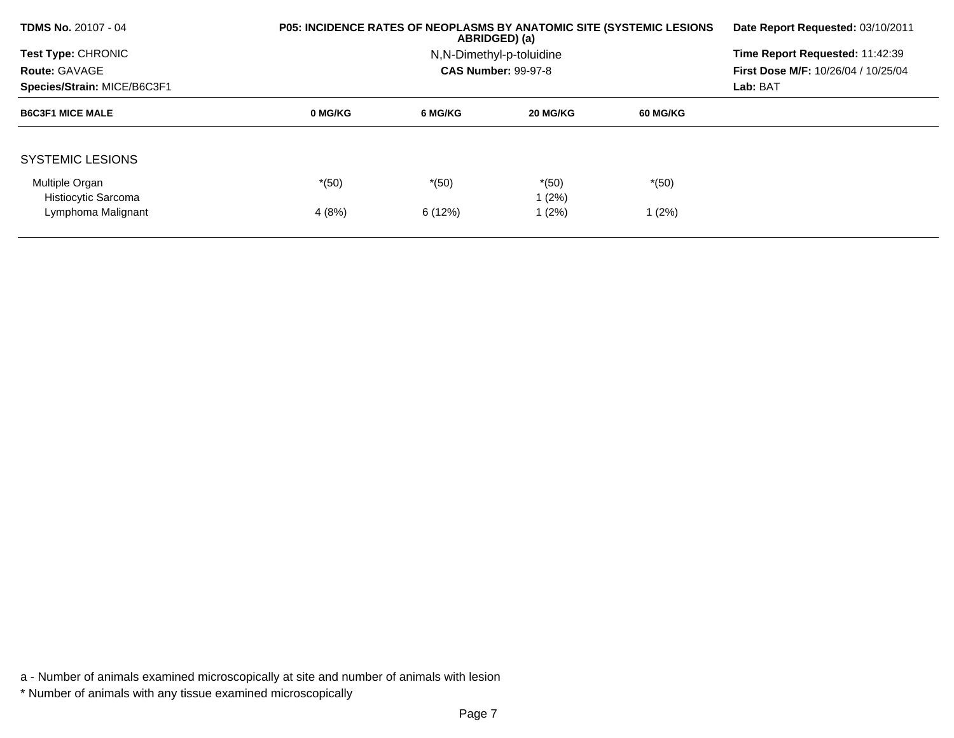| <b>TDMS No. 20107 - 04</b>  | <b>P05: INCIDENCE RATES OF NEOPLASMS BY ANATOMIC SITE (SYSTEMIC LESIONS)</b> | Date Report Requested: 03/10/2011 |                            |          |                                            |  |  |
|-----------------------------|------------------------------------------------------------------------------|-----------------------------------|----------------------------|----------|--------------------------------------------|--|--|
| Test Type: CHRONIC          |                                                                              |                                   | N, N-Dimethyl-p-toluidine  |          | Time Report Requested: 11:42:39            |  |  |
| <b>Route: GAVAGE</b>        |                                                                              |                                   | <b>CAS Number: 99-97-8</b> |          | <b>First Dose M/F: 10/26/04 / 10/25/04</b> |  |  |
| Species/Strain: MICE/B6C3F1 |                                                                              |                                   |                            |          |                                            |  |  |
| <b>B6C3F1 MICE MALE</b>     | 0 MG/KG                                                                      | 6 MG/KG                           | 20 MG/KG                   | 60 MG/KG |                                            |  |  |
|                             |                                                                              |                                   |                            |          |                                            |  |  |
| <b>SYSTEMIC LESIONS</b>     |                                                                              |                                   |                            |          |                                            |  |  |
| Multiple Organ              | $*(50)$                                                                      | $*(50)$                           | $*(50)$                    | $*(50)$  |                                            |  |  |
| Histiocytic Sarcoma         |                                                                              |                                   | 1 (2%)                     |          |                                            |  |  |
| Lymphoma Malignant          | 4(8%)                                                                        | 6 (12%)                           | 1 (2%)                     | 1(2%)    |                                            |  |  |
|                             |                                                                              |                                   |                            |          |                                            |  |  |

\* Number of animals with any tissue examined microscopically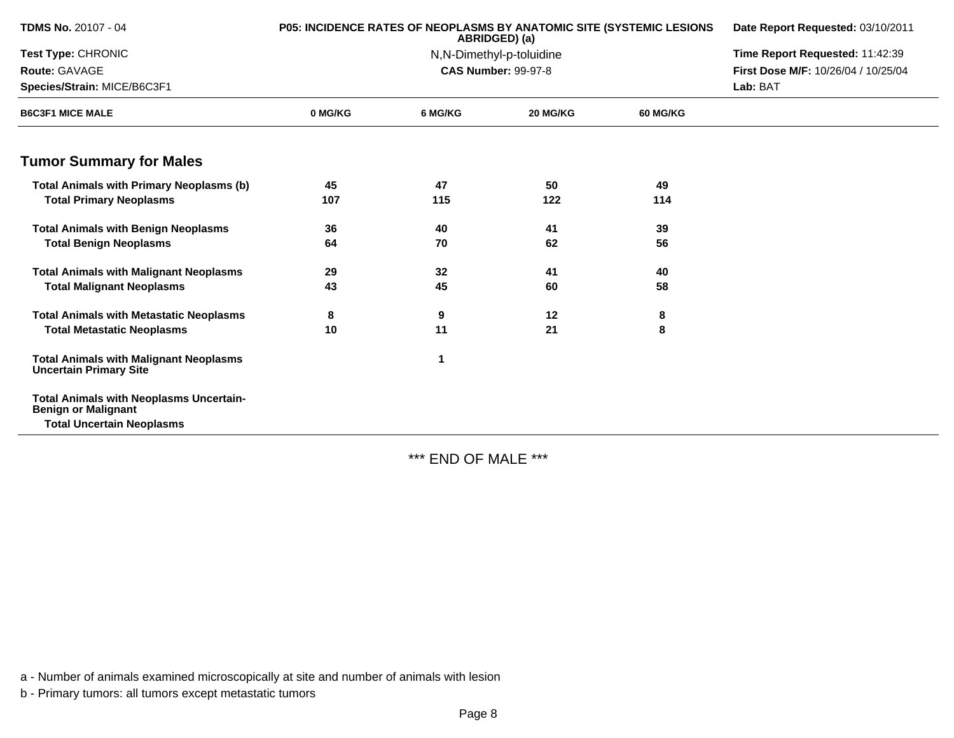| <b>TDMS No. 20107 - 04</b>                                                     | <b>P05: INCIDENCE RATES OF NEOPLASMS BY ANATOMIC SITE (SYSTEMIC LESIONS)</b> | Date Report Requested: 03/10/2011 |                            |                 |                                     |  |
|--------------------------------------------------------------------------------|------------------------------------------------------------------------------|-----------------------------------|----------------------------|-----------------|-------------------------------------|--|
| Test Type: CHRONIC                                                             |                                                                              |                                   | N,N-Dimethyl-p-toluidine   |                 | Time Report Requested: 11:42:39     |  |
| Route: GAVAGE                                                                  |                                                                              |                                   | <b>CAS Number: 99-97-8</b> |                 | First Dose M/F: 10/26/04 / 10/25/04 |  |
| Species/Strain: MICE/B6C3F1                                                    |                                                                              |                                   |                            | Lab: BAT        |                                     |  |
| <b>B6C3F1 MICE MALE</b>                                                        | 0 MG/KG                                                                      | 6 MG/KG                           | 20 MG/KG                   | <b>60 MG/KG</b> |                                     |  |
| <b>Tumor Summary for Males</b>                                                 |                                                                              |                                   |                            |                 |                                     |  |
| <b>Total Animals with Primary Neoplasms (b)</b>                                | 45                                                                           | 47                                | 50                         | 49              |                                     |  |
| <b>Total Primary Neoplasms</b>                                                 | 107                                                                          | 115                               | 122                        | 114             |                                     |  |
| <b>Total Animals with Benign Neoplasms</b>                                     | 36                                                                           | 40                                | 41                         | 39              |                                     |  |
| <b>Total Benign Neoplasms</b>                                                  | 64                                                                           | 70                                | 62                         | 56              |                                     |  |
| <b>Total Animals with Malignant Neoplasms</b>                                  | 29                                                                           | 32                                | 41                         | 40              |                                     |  |
| <b>Total Malignant Neoplasms</b>                                               | 43                                                                           | 45                                | 60                         | 58              |                                     |  |
| <b>Total Animals with Metastatic Neoplasms</b>                                 | 8                                                                            | 9                                 | 12                         | 8               |                                     |  |
| <b>Total Metastatic Neoplasms</b>                                              | 10                                                                           | 11                                | 21                         | 8               |                                     |  |
| <b>Total Animals with Malignant Neoplasms</b><br><b>Uncertain Primary Site</b> |                                                                              | 1                                 |                            |                 |                                     |  |
| <b>Total Animals with Neoplasms Uncertain-</b><br><b>Benign or Malignant</b>   |                                                                              |                                   |                            |                 |                                     |  |
| <b>Total Uncertain Neoplasms</b>                                               |                                                                              |                                   |                            |                 |                                     |  |

\*\*\* END OF MALE \*\*\*

a - Number of animals examined microscopically at site and number of animals with lesion

b - Primary tumors: all tumors except metastatic tumors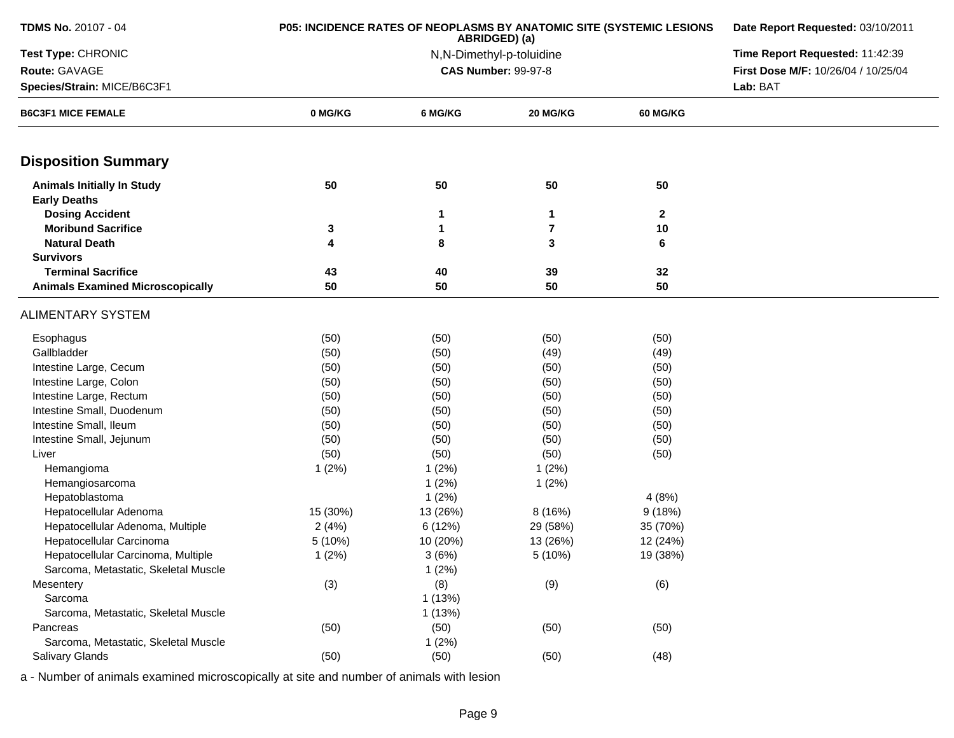| <b>TDMS No. 20107 - 04</b>                               | P05: INCIDENCE RATES OF NEOPLASMS BY ANATOMIC SITE (SYSTEMIC LESIONS | Date Report Requested: 03/10/2011<br>Time Report Requested: 11:42:39 |                            |                 |                                     |
|----------------------------------------------------------|----------------------------------------------------------------------|----------------------------------------------------------------------|----------------------------|-----------------|-------------------------------------|
| Test Type: CHRONIC                                       |                                                                      |                                                                      |                            |                 |                                     |
| Route: GAVAGE                                            |                                                                      |                                                                      | <b>CAS Number: 99-97-8</b> |                 | First Dose M/F: 10/26/04 / 10/25/04 |
| Species/Strain: MICE/B6C3F1                              |                                                                      |                                                                      | Lab: BAT                   |                 |                                     |
| <b>B6C3F1 MICE FEMALE</b>                                | 0 MG/KG                                                              | 6 MG/KG                                                              | 20 MG/KG                   | <b>60 MG/KG</b> |                                     |
| <b>Disposition Summary</b>                               |                                                                      |                                                                      |                            |                 |                                     |
| <b>Animals Initially In Study</b><br><b>Early Deaths</b> | 50                                                                   | 50                                                                   | 50                         | 50              |                                     |
| <b>Dosing Accident</b>                                   |                                                                      | $\mathbf{1}$                                                         | $\mathbf{1}$               | $\mathbf{2}$    |                                     |
| <b>Moribund Sacrifice</b>                                | 3                                                                    | $\mathbf{1}$                                                         | $\overline{7}$             | 10              |                                     |
| <b>Natural Death</b>                                     | 4                                                                    | 8                                                                    | 3                          | 6               |                                     |
| <b>Survivors</b>                                         |                                                                      |                                                                      |                            |                 |                                     |
| <b>Terminal Sacrifice</b>                                | 43                                                                   | 40                                                                   | 39                         | 32              |                                     |
| <b>Animals Examined Microscopically</b>                  | 50                                                                   | 50                                                                   | 50                         | 50              |                                     |
| <b>ALIMENTARY SYSTEM</b>                                 |                                                                      |                                                                      |                            |                 |                                     |
| Esophagus                                                | (50)                                                                 | (50)                                                                 | (50)                       | (50)            |                                     |
| Gallbladder                                              | (50)                                                                 | (50)                                                                 | (49)                       | (49)            |                                     |
| Intestine Large, Cecum                                   | (50)                                                                 | (50)                                                                 | (50)                       | (50)            |                                     |
| Intestine Large, Colon                                   | (50)                                                                 | (50)                                                                 | (50)                       | (50)            |                                     |
| Intestine Large, Rectum                                  | (50)                                                                 | (50)                                                                 | (50)                       | (50)            |                                     |
| Intestine Small, Duodenum                                | (50)                                                                 | (50)                                                                 | (50)                       | (50)            |                                     |
| Intestine Small, Ileum                                   | (50)                                                                 | (50)                                                                 | (50)                       | (50)            |                                     |
| Intestine Small, Jejunum                                 | (50)                                                                 | (50)                                                                 | (50)                       | (50)            |                                     |
| Liver                                                    | (50)                                                                 | (50)                                                                 | (50)                       | (50)            |                                     |
| Hemangioma                                               | 1(2%)                                                                | 1(2%)                                                                | 1(2%)                      |                 |                                     |
| Hemangiosarcoma                                          |                                                                      | 1(2%)                                                                | 1(2%)                      |                 |                                     |
| Hepatoblastoma                                           |                                                                      | 1(2%)                                                                |                            | 4(8%)           |                                     |
| Hepatocellular Adenoma                                   | 15 (30%)                                                             | 13 (26%)                                                             | 8 (16%)                    | 9(18%)          |                                     |
| Hepatocellular Adenoma, Multiple                         | 2(4%)                                                                | 6(12%)                                                               | 29 (58%)                   | 35 (70%)        |                                     |
| Hepatocellular Carcinoma                                 | 5 (10%)                                                              | 10 (20%)                                                             | 13 (26%)                   | 12 (24%)        |                                     |
| Hepatocellular Carcinoma, Multiple                       | 1(2%)                                                                | 3(6%)                                                                | 5 (10%)                    | 19 (38%)        |                                     |
| Sarcoma, Metastatic, Skeletal Muscle                     |                                                                      | 1(2%)                                                                |                            |                 |                                     |
| Mesentery                                                | (3)                                                                  | (8)                                                                  | (9)                        | (6)             |                                     |
| Sarcoma                                                  |                                                                      | 1(13%)                                                               |                            |                 |                                     |
| Sarcoma, Metastatic, Skeletal Muscle                     |                                                                      | 1(13%)                                                               |                            |                 |                                     |
| Pancreas                                                 | (50)                                                                 | (50)                                                                 | (50)                       | (50)            |                                     |
| Sarcoma, Metastatic, Skeletal Muscle                     |                                                                      | 1(2%)                                                                |                            |                 |                                     |
| Salivary Glands                                          | (50)                                                                 | (50)                                                                 | (50)                       | (48)            |                                     |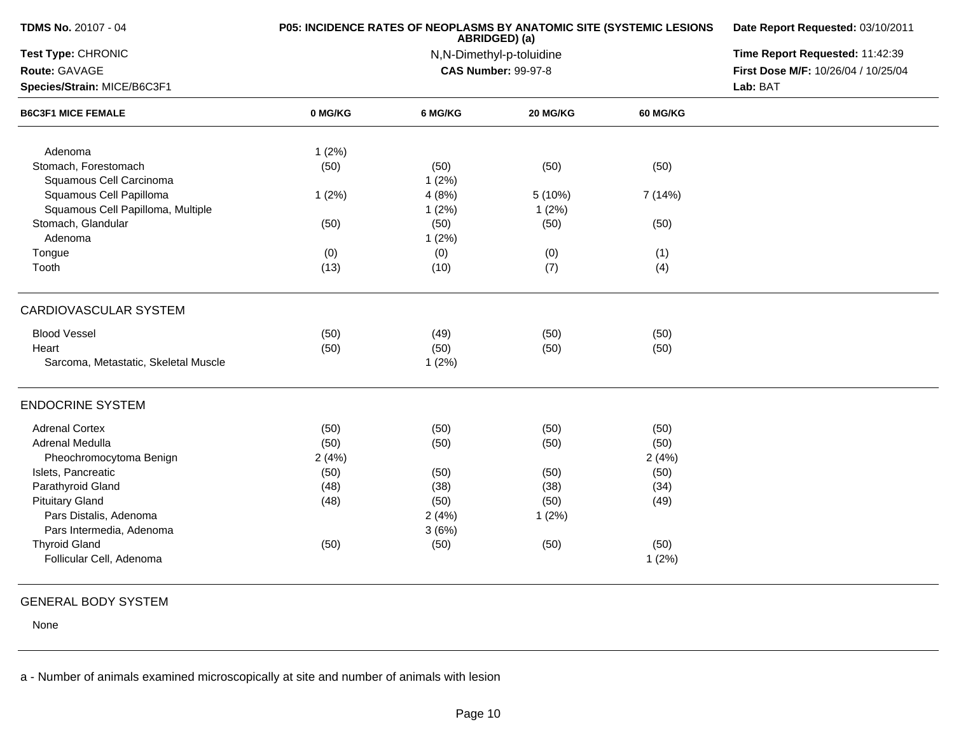| TDMS No. 20107 - 04                                          | P05: INCIDENCE RATES OF NEOPLASMS BY ANATOMIC SITE (SYSTEMIC LESIONS | Date Report Requested: 03/10/2011 |                            |                 |                                     |
|--------------------------------------------------------------|----------------------------------------------------------------------|-----------------------------------|----------------------------|-----------------|-------------------------------------|
| Test Type: CHRONIC                                           |                                                                      | Time Report Requested: 11:42:39   |                            |                 |                                     |
| Route: GAVAGE                                                |                                                                      |                                   | <b>CAS Number: 99-97-8</b> |                 | First Dose M/F: 10/26/04 / 10/25/04 |
| Species/Strain: MICE/B6C3F1                                  |                                                                      |                                   |                            |                 | Lab: BAT                            |
| <b>B6C3F1 MICE FEMALE</b>                                    | 0 MG/KG                                                              | 6 MG/KG                           | 20 MG/KG                   | <b>60 MG/KG</b> |                                     |
| Adenoma                                                      | 1(2%)                                                                |                                   |                            |                 |                                     |
| Stomach, Forestomach<br>Squamous Cell Carcinoma              | (50)                                                                 | (50)<br>1(2%)                     | (50)                       | (50)            |                                     |
| Squamous Cell Papilloma<br>Squamous Cell Papilloma, Multiple | 1(2%)                                                                | 4(8%)<br>1(2%)                    | 5 (10%)<br>1(2%)           | 7 (14%)         |                                     |
| Stomach, Glandular<br>Adenoma                                | (50)                                                                 | (50)<br>1(2%)                     | (50)                       | (50)            |                                     |
| Tongue                                                       | (0)                                                                  | (0)                               | (0)                        | (1)             |                                     |
| Tooth                                                        | (13)                                                                 | (10)                              | (7)                        | (4)             |                                     |
| CARDIOVASCULAR SYSTEM                                        |                                                                      |                                   |                            |                 |                                     |
| <b>Blood Vessel</b>                                          | (50)                                                                 | (49)                              | (50)                       | (50)            |                                     |
| Heart                                                        | (50)                                                                 | (50)                              | (50)                       | (50)            |                                     |
| Sarcoma, Metastatic, Skeletal Muscle                         |                                                                      | 1(2%)                             |                            |                 |                                     |
| <b>ENDOCRINE SYSTEM</b>                                      |                                                                      |                                   |                            |                 |                                     |
| <b>Adrenal Cortex</b>                                        | (50)                                                                 | (50)                              | (50)                       | (50)            |                                     |
| Adrenal Medulla                                              | (50)                                                                 | (50)                              | (50)                       | (50)            |                                     |
| Pheochromocytoma Benign                                      | 2(4%)                                                                |                                   |                            | 2(4%)           |                                     |
| Islets, Pancreatic                                           | (50)                                                                 | (50)                              | (50)                       | (50)            |                                     |
| Parathyroid Gland                                            | (48)                                                                 | (38)                              | (38)                       | (34)            |                                     |
| <b>Pituitary Gland</b>                                       | (48)                                                                 | (50)                              | (50)                       | (49)            |                                     |
| Pars Distalis, Adenoma                                       |                                                                      | 2(4%)                             | 1(2%)                      |                 |                                     |
| Pars Intermedia, Adenoma                                     |                                                                      | 3(6%)                             |                            |                 |                                     |
| <b>Thyroid Gland</b>                                         | (50)                                                                 | (50)                              | (50)                       | (50)            |                                     |
| Follicular Cell, Adenoma                                     |                                                                      |                                   |                            | 1(2%)           |                                     |
|                                                              |                                                                      |                                   |                            |                 |                                     |

## GENERAL BODY SYSTEM

None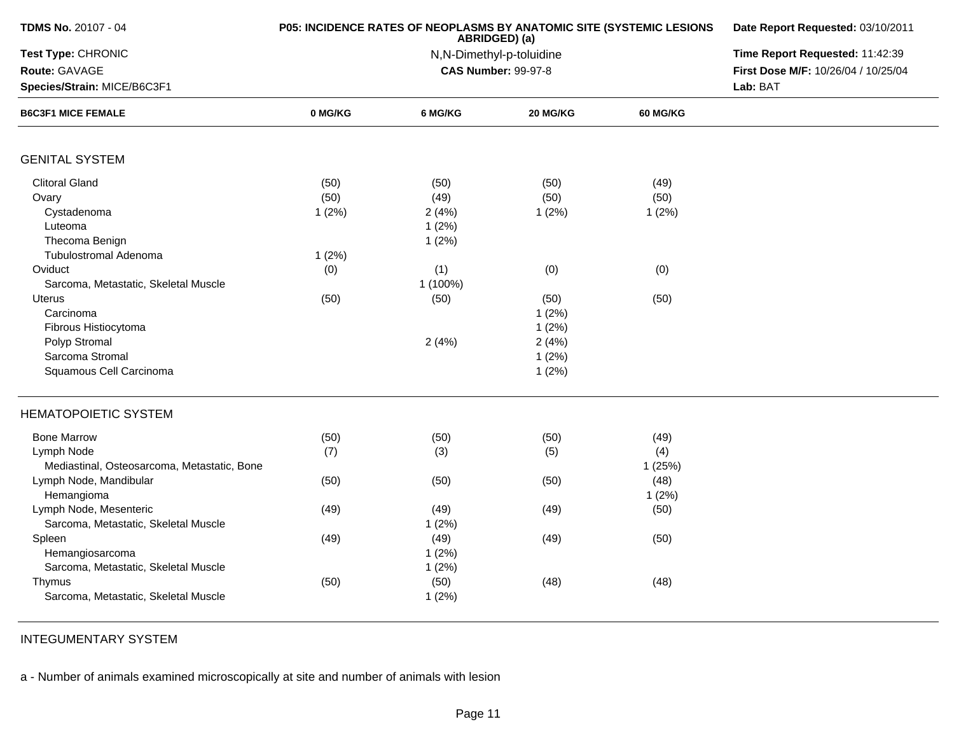| TDMS No. 20107 - 04                         |         | P05: INCIDENCE RATES OF NEOPLASMS BY ANATOMIC SITE (SYSTEMIC LESIONS<br>ABRIDGED) (a) | Date Report Requested: 03/10/2011<br>Time Report Requested: 11:42:39 |          |                                     |
|---------------------------------------------|---------|---------------------------------------------------------------------------------------|----------------------------------------------------------------------|----------|-------------------------------------|
| Test Type: CHRONIC                          |         | N,N-Dimethyl-p-toluidine                                                              |                                                                      |          |                                     |
| Route: GAVAGE                               |         |                                                                                       | <b>CAS Number: 99-97-8</b>                                           |          | First Dose M/F: 10/26/04 / 10/25/04 |
| Species/Strain: MICE/B6C3F1                 |         |                                                                                       |                                                                      | Lab: BAT |                                     |
| <b>B6C3F1 MICE FEMALE</b>                   | 0 MG/KG | 6 MG/KG                                                                               | 20 MG/KG                                                             | 60 MG/KG |                                     |
| <b>GENITAL SYSTEM</b>                       |         |                                                                                       |                                                                      |          |                                     |
| <b>Clitoral Gland</b>                       | (50)    | (50)                                                                                  | (50)                                                                 | (49)     |                                     |
| Ovary                                       | (50)    | (49)                                                                                  | (50)                                                                 | (50)     |                                     |
| Cystadenoma                                 | 1(2%)   | 2(4%)                                                                                 | 1(2%)                                                                | 1(2%)    |                                     |
| Luteoma                                     |         | 1(2%)                                                                                 |                                                                      |          |                                     |
| Thecoma Benign                              |         | 1(2%)                                                                                 |                                                                      |          |                                     |
| <b>Tubulostromal Adenoma</b>                | 1(2%)   |                                                                                       |                                                                      |          |                                     |
| Oviduct                                     | (0)     | (1)                                                                                   | (0)                                                                  | (0)      |                                     |
| Sarcoma, Metastatic, Skeletal Muscle        |         | 1 (100%)                                                                              |                                                                      |          |                                     |
| <b>Uterus</b>                               | (50)    | (50)                                                                                  | (50)                                                                 | (50)     |                                     |
| Carcinoma                                   |         |                                                                                       | 1(2%)                                                                |          |                                     |
| Fibrous Histiocytoma                        |         |                                                                                       | 1(2%)                                                                |          |                                     |
| Polyp Stromal                               |         | 2(4%)                                                                                 | 2(4%)                                                                |          |                                     |
| Sarcoma Stromal                             |         |                                                                                       | 1(2%)                                                                |          |                                     |
| Squamous Cell Carcinoma                     |         |                                                                                       | 1(2%)                                                                |          |                                     |
| <b>HEMATOPOIETIC SYSTEM</b>                 |         |                                                                                       |                                                                      |          |                                     |
| <b>Bone Marrow</b>                          | (50)    | (50)                                                                                  | (50)                                                                 | (49)     |                                     |
| Lymph Node                                  | (7)     | (3)                                                                                   | (5)                                                                  | (4)      |                                     |
| Mediastinal, Osteosarcoma, Metastatic, Bone |         |                                                                                       |                                                                      | 1(25%)   |                                     |
| Lymph Node, Mandibular                      | (50)    | (50)                                                                                  | (50)                                                                 | (48)     |                                     |
| Hemangioma                                  |         |                                                                                       |                                                                      | 1(2%)    |                                     |
| Lymph Node, Mesenteric                      | (49)    | (49)                                                                                  | (49)                                                                 | (50)     |                                     |
| Sarcoma, Metastatic, Skeletal Muscle        |         | 1(2%)                                                                                 |                                                                      |          |                                     |
| Spleen                                      | (49)    | (49)                                                                                  | (49)                                                                 | (50)     |                                     |
| Hemangiosarcoma                             |         | 1(2%)                                                                                 |                                                                      |          |                                     |
| Sarcoma, Metastatic, Skeletal Muscle        |         | 1(2%)                                                                                 |                                                                      |          |                                     |
| Thymus                                      | (50)    | (50)                                                                                  | (48)                                                                 | (48)     |                                     |
| Sarcoma, Metastatic, Skeletal Muscle        |         | 1(2%)                                                                                 |                                                                      |          |                                     |
|                                             |         |                                                                                       |                                                                      |          |                                     |

INTEGUMENTARY SYSTEM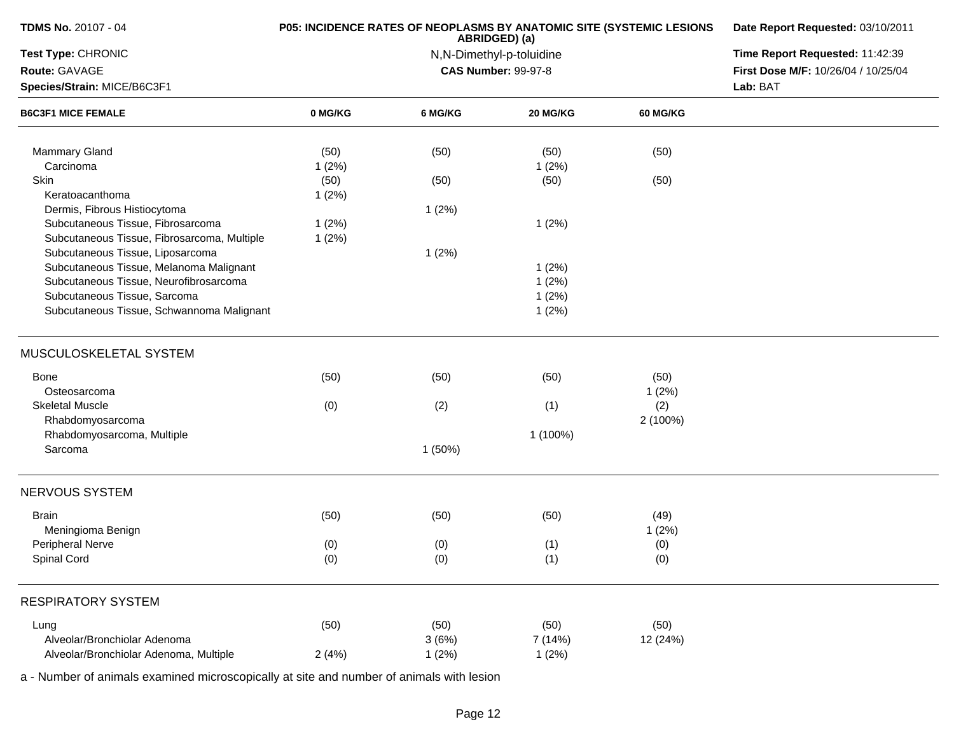| Test Type: CHRONIC<br>Route: GAVAGE<br>Species/Strain: MICE/B6C3F1<br><b>B6C3F1 MICE FEMALE</b><br>Mammary Gland<br>Carcinoma | 0 MG/KG<br>(50)<br>1(2%)<br>(50)<br>1(2%)<br>1(2%)<br>1(2%) | 6 MG/KG<br>(50)<br>(50)<br>1(2%)<br>1(2%) | ABRIDGED) (a)<br>N,N-Dimethyl-p-toluidine<br><b>CAS Number: 99-97-8</b><br>20 MG/KG<br>(50)<br>1(2%)<br>(50)<br>1(2%) | <b>60 MG/KG</b><br>(50)<br>(50) | Time Report Requested: 11:42:39<br>First Dose M/F: 10/26/04 / 10/25/04<br>Lab: BAT |
|-------------------------------------------------------------------------------------------------------------------------------|-------------------------------------------------------------|-------------------------------------------|-----------------------------------------------------------------------------------------------------------------------|---------------------------------|------------------------------------------------------------------------------------|
|                                                                                                                               |                                                             |                                           |                                                                                                                       |                                 |                                                                                    |
|                                                                                                                               |                                                             |                                           |                                                                                                                       |                                 |                                                                                    |
|                                                                                                                               |                                                             |                                           |                                                                                                                       |                                 |                                                                                    |
|                                                                                                                               |                                                             |                                           |                                                                                                                       |                                 |                                                                                    |
|                                                                                                                               |                                                             |                                           |                                                                                                                       |                                 |                                                                                    |
|                                                                                                                               |                                                             |                                           |                                                                                                                       |                                 |                                                                                    |
| Skin                                                                                                                          |                                                             |                                           |                                                                                                                       |                                 |                                                                                    |
| Keratoacanthoma                                                                                                               |                                                             |                                           |                                                                                                                       |                                 |                                                                                    |
| Dermis, Fibrous Histiocytoma                                                                                                  |                                                             |                                           |                                                                                                                       |                                 |                                                                                    |
| Subcutaneous Tissue, Fibrosarcoma                                                                                             |                                                             |                                           |                                                                                                                       |                                 |                                                                                    |
| Subcutaneous Tissue, Fibrosarcoma, Multiple                                                                                   |                                                             |                                           |                                                                                                                       |                                 |                                                                                    |
| Subcutaneous Tissue, Liposarcoma                                                                                              |                                                             |                                           |                                                                                                                       |                                 |                                                                                    |
| Subcutaneous Tissue, Melanoma Malignant                                                                                       |                                                             |                                           | 1(2%)                                                                                                                 |                                 |                                                                                    |
| Subcutaneous Tissue, Neurofibrosarcoma                                                                                        |                                                             |                                           | 1(2%)                                                                                                                 |                                 |                                                                                    |
| Subcutaneous Tissue, Sarcoma                                                                                                  |                                                             |                                           | 1(2%)                                                                                                                 |                                 |                                                                                    |
| Subcutaneous Tissue, Schwannoma Malignant                                                                                     |                                                             |                                           | 1(2%)                                                                                                                 |                                 |                                                                                    |
| MUSCULOSKELETAL SYSTEM                                                                                                        |                                                             |                                           |                                                                                                                       |                                 |                                                                                    |
| <b>Bone</b>                                                                                                                   | (50)                                                        | (50)                                      | (50)                                                                                                                  | (50)                            |                                                                                    |
| Osteosarcoma                                                                                                                  |                                                             |                                           |                                                                                                                       | 1(2%)                           |                                                                                    |
| <b>Skeletal Muscle</b>                                                                                                        | (0)                                                         | (2)                                       | (1)                                                                                                                   | (2)                             |                                                                                    |
| Rhabdomyosarcoma                                                                                                              |                                                             |                                           |                                                                                                                       | 2 (100%)                        |                                                                                    |
| Rhabdomyosarcoma, Multiple                                                                                                    |                                                             |                                           | 1 (100%)                                                                                                              |                                 |                                                                                    |
| Sarcoma                                                                                                                       |                                                             | 1(50%)                                    |                                                                                                                       |                                 |                                                                                    |
| NERVOUS SYSTEM                                                                                                                |                                                             |                                           |                                                                                                                       |                                 |                                                                                    |
| <b>Brain</b>                                                                                                                  | (50)                                                        | (50)                                      | (50)                                                                                                                  | (49)                            |                                                                                    |
| Meningioma Benign                                                                                                             |                                                             |                                           |                                                                                                                       | 1(2%)                           |                                                                                    |
| Peripheral Nerve                                                                                                              | (0)                                                         | (0)                                       | (1)                                                                                                                   | (0)                             |                                                                                    |
| Spinal Cord                                                                                                                   | (0)                                                         | (0)                                       | (1)                                                                                                                   | (0)                             |                                                                                    |
|                                                                                                                               |                                                             |                                           |                                                                                                                       |                                 |                                                                                    |
| <b>RESPIRATORY SYSTEM</b>                                                                                                     |                                                             |                                           |                                                                                                                       |                                 |                                                                                    |
| Lung                                                                                                                          | (50)                                                        | (50)                                      | (50)                                                                                                                  | (50)                            |                                                                                    |
| Alveolar/Bronchiolar Adenoma                                                                                                  |                                                             | 3(6%)                                     | 7 (14%)                                                                                                               | 12 (24%)                        |                                                                                    |
| Alveolar/Bronchiolar Adenoma, Multiple                                                                                        | 2(4%)                                                       | 1(2%)                                     | 1(2%)                                                                                                                 |                                 |                                                                                    |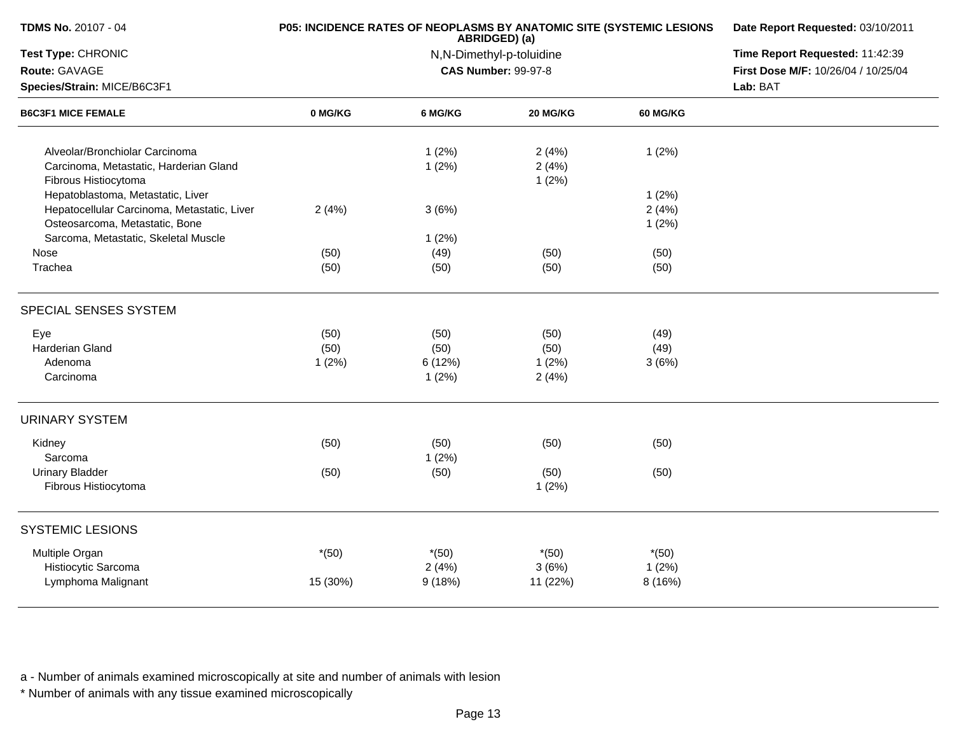| <b>TDMS No. 20107 - 04</b>                                                                                                                                 | <b>P05: INCIDENCE RATES OF NEOPLASMS BY ANATOMIC SITE (SYSTEMIC LESIONS</b> | ABRIDGED) (a)                    | Date Report Requested: 03/10/2011<br>Time Report Requested: 11:42:39<br>First Dose M/F: 10/26/04 / 10/25/04<br>Lab: BAT |                            |  |
|------------------------------------------------------------------------------------------------------------------------------------------------------------|-----------------------------------------------------------------------------|----------------------------------|-------------------------------------------------------------------------------------------------------------------------|----------------------------|--|
| Test Type: CHRONIC                                                                                                                                         |                                                                             | N,N-Dimethyl-p-toluidine         |                                                                                                                         |                            |  |
| Route: GAVAGE                                                                                                                                              |                                                                             | <b>CAS Number: 99-97-8</b>       |                                                                                                                         |                            |  |
| Species/Strain: MICE/B6C3F1<br><b>B6C3F1 MICE FEMALE</b>                                                                                                   |                                                                             |                                  |                                                                                                                         |                            |  |
|                                                                                                                                                            | 0 MG/KG                                                                     | 6 MG/KG                          | 20 MG/KG                                                                                                                | 60 MG/KG                   |  |
| Alveolar/Bronchiolar Carcinoma<br>Carcinoma, Metastatic, Harderian Gland<br>Fibrous Histiocytoma                                                           |                                                                             | 1(2%)<br>1(2%)                   | 2(4%)<br>2(4%)<br>1(2%)                                                                                                 | 1(2%)                      |  |
| Hepatoblastoma, Metastatic, Liver<br>Hepatocellular Carcinoma, Metastatic, Liver<br>Osteosarcoma, Metastatic, Bone<br>Sarcoma, Metastatic, Skeletal Muscle | 2(4%)                                                                       | 3(6%)                            |                                                                                                                         | 1(2%)<br>2(4%)<br>1(2%)    |  |
| Nose<br>Trachea                                                                                                                                            | (50)<br>(50)                                                                | 1(2%)<br>(49)<br>(50)            | (50)<br>(50)                                                                                                            | (50)<br>(50)               |  |
| SPECIAL SENSES SYSTEM                                                                                                                                      |                                                                             |                                  |                                                                                                                         |                            |  |
| Eye<br>Harderian Gland<br>Adenoma<br>Carcinoma                                                                                                             | (50)<br>(50)<br>1(2%)                                                       | (50)<br>(50)<br>6 (12%)<br>1(2%) | (50)<br>(50)<br>1(2%)<br>2(4%)                                                                                          | (49)<br>(49)<br>3(6%)      |  |
| <b>URINARY SYSTEM</b>                                                                                                                                      |                                                                             |                                  |                                                                                                                         |                            |  |
| Kidney<br>Sarcoma<br><b>Urinary Bladder</b>                                                                                                                | (50)<br>(50)                                                                | (50)<br>1(2%)<br>(50)            | (50)<br>(50)                                                                                                            | (50)<br>(50)               |  |
| Fibrous Histiocytoma                                                                                                                                       |                                                                             |                                  | 1(2%)                                                                                                                   |                            |  |
| <b>SYSTEMIC LESIONS</b>                                                                                                                                    |                                                                             |                                  |                                                                                                                         |                            |  |
| Multiple Organ<br>Histiocytic Sarcoma<br>Lymphoma Malignant                                                                                                | $*(50)$<br>15 (30%)                                                         | $*(50)$<br>2(4%)<br>9(18%)       | $*(50)$<br>3(6%)<br>11 (22%)                                                                                            | $*(50)$<br>1(2%)<br>8(16%) |  |
|                                                                                                                                                            |                                                                             |                                  |                                                                                                                         |                            |  |

\* Number of animals with any tissue examined microscopically